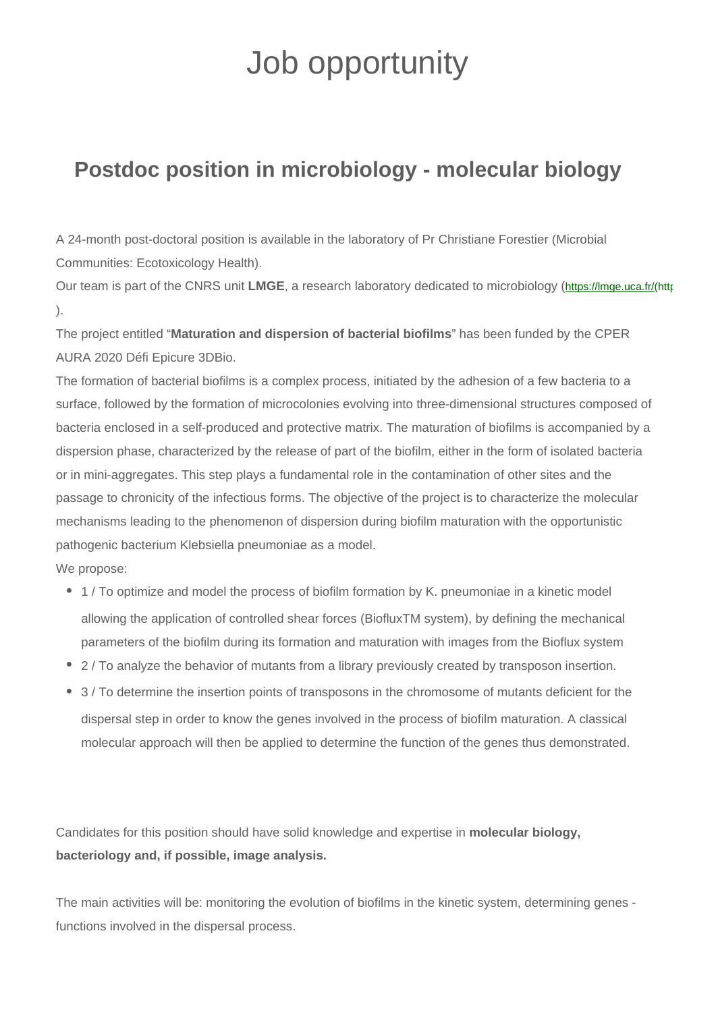## Job opportunity

## **Postdoc position in microbiology - molecular biology**

A 24-month post-doctoral position is available in the laboratory of Pr Christiane Forestier (Microbial Communities: Ecotoxicology Health).

Our team is part of the CNRS unit LMGE, a research laboratory dedicated to microbiology (https://lmge.uca.fr/(https://lmge.uca.fr ).

The project entitled "**Maturation and dispersion of bacterial biofilms**" has been funded by the CPER AURA 2020 Défi Epicure 3DBio.

The formation of bacterial biofilms is a complex process, initiated by the adhesion of a few bacteria to a surface, followed by the formation of microcolonies evolving into three-dimensional structures composed of bacteria enclosed in a self-produced and protective matrix. The maturation of biofilms is accompanied by a dispersion phase, characterized by the release of part of the biofilm, either in the form of isolated bacteria or in mini-aggregates. This step plays a fundamental role in the contamination of other sites and the passage to chronicity of the infectious forms. The objective of the project is to characterize the molecular mechanisms leading to the phenomenon of dispersion during biofilm maturation with the opportunistic pathogenic bacterium Klebsiella pneumoniae as a model.

We propose:

- 1 / To optimize and model the process of biofilm formation by K. pneumoniae in a kinetic model allowing the application of controlled shear forces (BiofluxTM system), by defining the mechanical parameters of the biofilm during its formation and maturation with images from the Bioflux system
- 2 / To analyze the behavior of mutants from a library previously created by transposon insertion.
- 3 / To determine the insertion points of transposons in the chromosome of mutants deficient for the dispersal step in order to know the genes involved in the process of biofilm maturation. A classical molecular approach will then be applied to determine the function of the genes thus demonstrated.

Candidates for this position should have solid knowledge and expertise in **molecular biology, bacteriology and, if possible, image analysis.**

The main activities will be: monitoring the evolution of biofilms in the kinetic system, determining genes functions involved in the dispersal process.